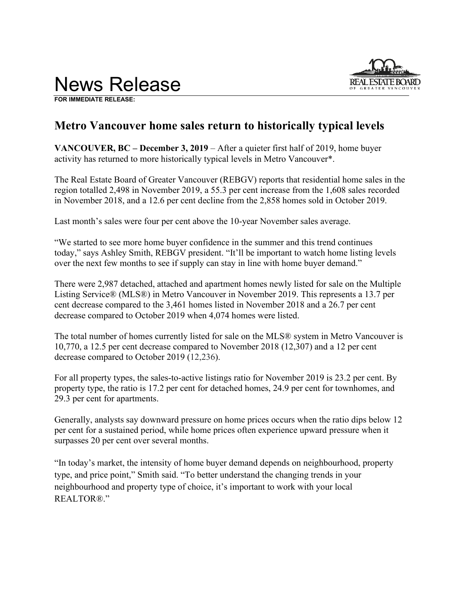

**FOR IMMEDIATE RELEASE:** 

# **Metro Vancouver home sales return to historically typical levels**

**VANCOUVER, BC – December 3, 2019** – After a quieter first half of 2019, home buyer activity has returned to more historically typical levels in Metro Vancouver\*.

The Real Estate Board of Greater Vancouver (REBGV) reports that residential home sales in the region totalled 2,498 in November 2019, a 55.3 per cent increase from the 1,608 sales recorded in November 2018, and a 12.6 per cent decline from the 2,858 homes sold in October 2019.

Last month's sales were four per cent above the 10-year November sales average.

"We started to see more home buyer confidence in the summer and this trend continues today," says Ashley Smith, REBGV president. "It'll be important to watch home listing levels over the next few months to see if supply can stay in line with home buyer demand."

There were 2,987 detached, attached and apartment homes newly listed for sale on the Multiple Listing Service® (MLS®) in Metro Vancouver in November 2019. This represents a 13.7 per cent decrease compared to the 3,461 homes listed in November 2018 and a 26.7 per cent decrease compared to October 2019 when 4,074 homes were listed.

The total number of homes currently listed for sale on the MLS® system in Metro Vancouver is 10,770, a 12.5 per cent decrease compared to November 2018 (12,307) and a 12 per cent decrease compared to October 2019 (12,236).

For all property types, the sales-to-active listings ratio for November 2019 is 23.2 per cent. By property type, the ratio is 17.2 per cent for detached homes, 24.9 per cent for townhomes, and 29.3 per cent for apartments.

Generally, analysts say downward pressure on home prices occurs when the ratio dips below 12 per cent for a sustained period, while home prices often experience upward pressure when it surpasses 20 per cent over several months.

"In today's market, the intensity of home buyer demand depends on neighbourhood, property type, and price point," Smith said. "To better understand the changing trends in your neighbourhood and property type of choice, it's important to work with your local REALTOR®."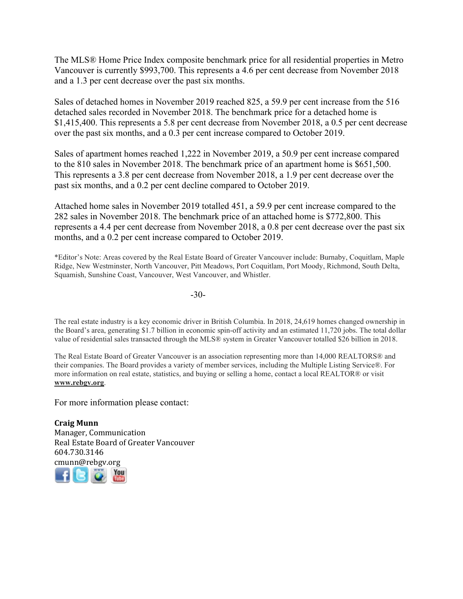The MLS® Home Price Index composite benchmark price for all residential properties in Metro Vancouver is currently \$993,700. This represents a 4.6 per cent decrease from November 2018 and a 1.3 per cent decrease over the past six months.

Sales of detached homes in November 2019 reached 825, a 59.9 per cent increase from the 516 detached sales recorded in November 2018. The benchmark price for a detached home is \$1,415,400. This represents a 5.8 per cent decrease from November 2018, a 0.5 per cent decrease over the past six months, and a 0.3 per cent increase compared to October 2019.

Sales of apartment homes reached 1,222 in November 2019, a 50.9 per cent increase compared to the 810 sales in November 2018. The benchmark price of an apartment home is \$651,500. This represents a 3.8 per cent decrease from November 2018, a 1.9 per cent decrease over the past six months, and a 0.2 per cent decline compared to October 2019.

Attached home sales in November 2019 totalled 451, a 59.9 per cent increase compared to the 282 sales in November 2018. The benchmark price of an attached home is \$772,800. This represents a 4.4 per cent decrease from November 2018, a 0.8 per cent decrease over the past six months, and a 0.2 per cent increase compared to October 2019.

\*Editor's Note: Areas covered by the Real Estate Board of Greater Vancouver include: Burnaby, Coquitlam, Maple Ridge, New Westminster, North Vancouver, Pitt Meadows, Port Coquitlam, Port Moody, Richmond, South Delta, Squamish, Sunshine Coast, Vancouver, West Vancouver, and Whistler.

-30-

The real estate industry is a key economic driver in British Columbia. In 2018, 24,619 homes changed ownership in the Board's area, generating \$1.7 billion in economic spin-off activity and an estimated 11,720 jobs. The total dollar value of residential sales transacted through the MLS® system in Greater Vancouver totalled \$26 billion in 2018.

The Real Estate Board of Greater Vancouver is an association representing more than 14,000 REALTORS® and their companies. The Board provides a variety of member services, including the Multiple Listing Service®. For more information on real estate, statistics, and buying or selling a home, contact a local REALTOR® or visit **www.rebgv.org**.

For more information please contact:

**Craig Munn** Manager, Communication Real Estate Board of Greater Vancouver 604.730.3146 [cmu](http://www.facebook.com/rebgv)[nn@r](http://www.twitter.com/rebgv)[ebgv.](http://www.rebgv.org/)[org](http://www.youtube.com/user/rebgv)

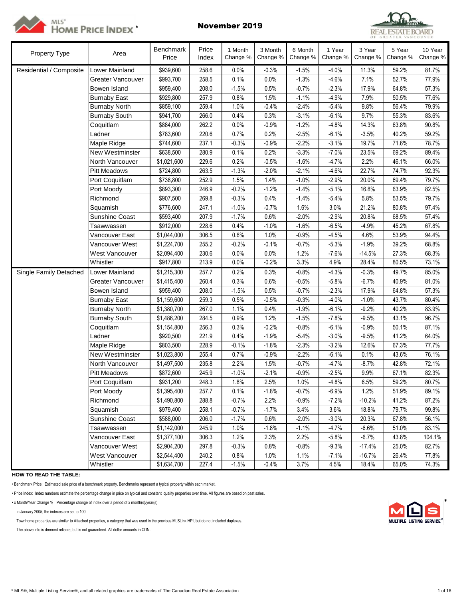



| Property Type           | Area                  | Benchmark<br>Price | Price<br>Index | 1 Month<br>Change % | 3 Month<br>Change % | 6 Month<br>Change % | 1 Year<br>Change % | 3 Year<br>Change % | 5 Year<br>Change % | 10 Year<br>Change % |
|-------------------------|-----------------------|--------------------|----------------|---------------------|---------------------|---------------------|--------------------|--------------------|--------------------|---------------------|
| Residential / Composite | Lower Mainland        | \$939,600          | 258.6          | 0.0%                | $-0.3%$             | $-1.5%$             | $-4.0%$            | 11.3%              | 59.2%              | 81.7%               |
|                         | Greater Vancouver     | \$993,700          | 258.5          | 0.1%                | 0.0%                | $-1.3%$             | $-4.6%$            | 7.1%               | 52.7%              | 77.9%               |
|                         | Bowen Island          | \$959,400          | 208.0          | $-1.5%$             | 0.5%                | $-0.7%$             | $-2.3%$            | 17.9%              | 64.8%              | 57.3%               |
|                         | <b>Burnaby East</b>   | \$929,800          | 257.9          | 0.8%                | 1.5%                | $-1.1%$             | $-4.9%$            | 7.9%               | 50.5%              | 77.6%               |
|                         | <b>Burnaby North</b>  | \$859,100          | 259.4          | 1.0%                | $-0.4%$             | $-2.4%$             | $-5.4%$            | 9.8%               | 56.4%              | 79.9%               |
|                         | <b>Burnaby South</b>  | \$941,700          | 266.0          | 0.4%                | 0.3%                | $-3.1%$             | $-6.1%$            | 9.7%               | 55.3%              | 83.6%               |
|                         | Coquitlam             | \$884,000          | 262.2          | 0.0%                | $-0.9%$             | $-1.2%$             | $-4.8%$            | 14.3%              | 63.8%              | 90.8%               |
|                         | Ladner                | \$783,600          | 220.6          | 0.7%                | 0.2%                | $-2.5%$             | $-6.1%$            | $-3.5%$            | 40.2%              | 59.2%               |
|                         | Maple Ridge           | \$744,600          | 237.1          | $-0.3%$             | $-0.9%$             | $-2.2%$             | $-3.1%$            | 19.7%              | 71.6%              | 78.7%               |
|                         | New Westminster       | \$638,500          | 280.9          | 0.1%                | 0.2%                | $-3.3%$             | $-7.0%$            | 23.5%              | 69.2%              | 89.4%               |
|                         | North Vancouver       | \$1,021,600        | 229.6          | 0.2%                | $-0.5%$             | $-1.6%$             | $-4.7%$            | 2.2%               | 46.1%              | 66.0%               |
|                         | <b>Pitt Meadows</b>   | \$724,800          | 263.5          | $-1.3%$             | $-2.0%$             | $-2.1%$             | $-4.6%$            | 22.7%              | 74.7%              | 92.3%               |
|                         | Port Coquitlam        | \$738,800          | 252.9          | 1.5%                | 1.4%                | $-1.0%$             | $-2.9%$            | 20.0%              | 69.4%              | 79.7%               |
|                         | Port Moody            | \$893,300          | 246.9          | $-0.2%$             | $-1.2%$             | $-1.4%$             | $-5.1%$            | 16.8%              | 63.9%              | 82.5%               |
|                         | Richmond              | \$907,500          | 269.8          | $-0.3%$             | 0.4%                | $-1.4%$             | $-5.4%$            | 5.8%               | 53.5%              | 79.7%               |
|                         | Squamish              | \$776,600          | 247.1          | $-1.0%$             | $-0.7%$             | 1.6%                | 3.0%               | 21.2%              | 80.8%              | 97.4%               |
|                         | Sunshine Coast        | \$593,400          | 207.9          | $-1.7%$             | 0.6%                | $-2.0%$             | $-2.9%$            | 20.8%              | 68.5%              | 57.4%               |
|                         | Tsawwassen            | \$912,000          | 228.6          | 0.4%                | $-1.0%$             | $-1.6%$             | $-6.5%$            | $-4.9%$            | 45.2%              | 67.8%               |
|                         | Vancouver East        | \$1,044,000        | 306.5          | 0.6%                | 1.0%                | $-0.9%$             | $-4.5%$            | 4.6%               | 53.9%              | 94.4%               |
|                         | Vancouver West        | \$1,224,700        | 255.2          | $-0.2%$             | $-0.1%$             | $-0.7%$             | $-5.3%$            | $-1.9%$            | 39.2%              | 68.8%               |
|                         | West Vancouver        | \$2,094,400        | 230.6          | 0.0%                | 0.0%                | 1.2%                | $-7.6%$            | $-14.5%$           | 27.3%              | 68.3%               |
|                         | Whistler              | \$917,800          | 213.9          | 0.0%                | $-0.2%$             | 3.3%                | 4.9%               | 28.4%              | 80.5%              | 73.1%               |
| Single Family Detached  | Lower Mainland        | \$1,215,300        | 257.7          | 0.2%                | 0.3%                | $-0.8%$             | $-4.3%$            | $-0.3%$            | 49.7%              | 85.0%               |
|                         | Greater Vancouver     | \$1,415,400        | 260.4          | 0.3%                | 0.6%                | $-0.5%$             | $-5.8%$            | $-6.7%$            | 40.9%              | 81.0%               |
|                         | Bowen Island          | \$959,400          | 208.0          | $-1.5%$             | 0.5%                | $-0.7%$             | $-2.3%$            | 17.9%              | 64.8%              | 57.3%               |
|                         | <b>Burnaby East</b>   | \$1,159,600        | 259.3          | 0.5%                | $-0.5%$             | $-0.3%$             | $-4.0%$            | $-1.0%$            | 43.7%              | 80.4%               |
|                         | <b>Burnaby North</b>  | \$1,380,700        | 267.0          | 1.1%                | 0.4%                | $-1.9%$             | $-6.1%$            | $-9.2%$            | 40.2%              | 83.9%               |
|                         | <b>Burnaby South</b>  | \$1,486,200        | 284.5          | 0.9%                | 1.2%                | $-1.5%$             | $-7.8%$            | $-9.5%$            | 43.1%              | 96.7%               |
|                         | Coquitlam             | \$1,154,800        | 256.3          | 0.3%                | $-0.2%$             | $-0.8%$             | $-6.1%$            | $-0.9%$            | 50.1%              | 87.1%               |
|                         | Ladner                | \$920,500          | 221.9          | 0.4%                | $-1.9%$             | $-5.4%$             | $-3.0%$            | $-9.5%$            | 41.2%              | 64.0%               |
|                         | Maple Ridge           | \$803,500          | 228.9          | $-0.1%$             | $-1.8%$             | $-2.3%$             | $-3.2%$            | 12.6%              | 67.3%              | 77.7%               |
|                         | New Westminster       | \$1,023,800        | 255.4          | 0.7%                | $-0.9%$             | $-2.2%$             | $-6.1%$            | 0.1%               | 43.6%              | 76.1%               |
|                         | North Vancouver       | \$1,497,500        | 235.8          | 2.2%                | 1.5%                | $-0.7%$             | $-4.7%$            | $-8.7%$            | 42.8%              | 72.1%               |
|                         | <b>Pitt Meadows</b>   | \$872,600          | 245.9          | $-1.0%$             | $-2.1%$             | $-0.9%$             | $-2.5%$            | 9.9%               | 67.1%              | 82.3%               |
|                         | Port Coquitlam        | \$931,200          | 248.3          | 1.8%                | 2.5%                | 1.0%                | $-4.8%$            | 6.5%               | 59.2%              | 80.7%               |
|                         | Port Moody            | \$1,395,400        | 257.7          | 0.1%                | $-1.8%$             | $-0.7%$             | $-6.9%$            | 1.2%               | 51.9%              | 89.1%               |
|                         | Richmond              | \$1,490,800        | 288.8          | $-0.7%$             | 2.2%                | $-0.9%$             | $-7.2%$            | $-10.2%$           | 41.2%              | 87.2%               |
|                         | Squamish              | \$979,400          | 258.1          | $-0.7%$             | $-1.7%$             | 3.4%                | 3.6%               | 18.8%              | 79.7%              | 99.8%               |
|                         | <b>Sunshine Coast</b> | \$588,000          | 206.0          | $-1.7%$             | 0.6%                | $-2.0%$             | $-3.0%$            | 20.3%              | 67.8%              | 56.1%               |
|                         | Tsawwassen            | \$1,142,000        | 245.9          | 1.0%                | $-1.8%$             | $-1.1%$             | $-4.7%$            | $-6.6%$            | 51.0%              | 83.1%               |
|                         | Vancouver East        | \$1,377,100        | 306.3          | 1.2%                | 2.3%                | 2.2%                | $-5.8%$            | $-6.7%$            | 43.8%              | 104.1%              |
|                         | Vancouver West        | \$2,904,200        | 297.8          | $-0.3%$             | 0.8%                | $-0.8%$             | $-9.3%$            | $-17.4%$           | 25.0%              | 82.7%               |
|                         | West Vancouver        | \$2,544,400        | 240.2          | 0.8%                | 1.0%                | 1.1%                | $-7.1%$            | $-16.7%$           | 26.4%              | 77.8%               |
|                         | Whistler              | \$1,634,700        | 227.4          | $-1.5%$             | $-0.4%$             | 3.7%                | 4.5%               | 18.4%              | 65.0%              | 74.3%               |

# **HOW TO READ THE TABLE:**

• Benchmark Price: Estimated sale price of a benchmark property. Benchmarks represent a typical property within each market.

• Price Index: Index numbers estimate the percentage change in price on typical and constant quality properties over time. All figures are based on past sales.

• x Month/Year Change %: Percentage change of index over a period of x month(s)/year(s) \*

In January 2005, the indexes are set to 100.

Townhome properties are similar to Attached properties, a category that was used in the previous MLSLink HPI, but do not included duplexes.

The above info is deemed reliable, but is not guaranteed. All dollar amounts in CDN.

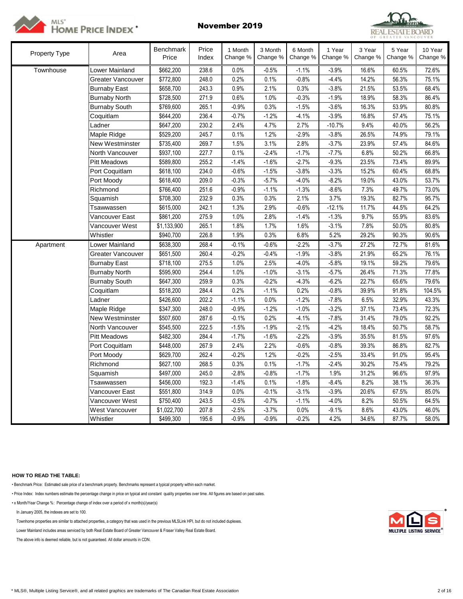



| <b>Property Type</b> | Area                  | Benchmark<br>Price | Price<br>Index | 1 Month<br>Change % | 3 Month<br>Change % | 6 Month<br>Change % | 1 Year<br>Change % | 3 Year<br>Change % | 5 Year<br>Change % | 10 Year<br>Change % |
|----------------------|-----------------------|--------------------|----------------|---------------------|---------------------|---------------------|--------------------|--------------------|--------------------|---------------------|
| Townhouse            | Lower Mainland        | \$662,200          | 238.6          | 0.0%                | $-0.5%$             | $-1.1%$             | $-3.9%$            | 16.6%              | 60.5%              | 72.6%               |
|                      | Greater Vancouver     | \$772,800          | 248.0          | 0.2%                | 0.1%                | $-0.8%$             | $-4.4%$            | 14.2%              | 56.3%              | 75.1%               |
|                      | <b>Burnaby East</b>   | \$658,700          | 243.3          | 0.9%                | 2.1%                | 0.3%                | $-3.8%$            | 21.5%              | 53.5%              | 68.4%               |
|                      | <b>Burnaby North</b>  | \$728,500          | 271.9          | 0.6%                | 1.0%                | $-0.3%$             | $-1.9%$            | 18.9%              | 58.3%              | 86.4%               |
|                      | <b>Burnaby South</b>  | \$769,600          | 265.1          | $-0.9%$             | 0.3%                | $-1.5%$             | $-3.6%$            | 16.3%              | 53.9%              | 80.8%               |
|                      | Coquitlam             | \$644,200          | 236.4          | $-0.7%$             | $-1.2%$             | $-4.1%$             | $-3.9%$            | 16.8%              | 57.4%              | 75.1%               |
|                      | Ladner                | \$647,200          | 230.2          | 2.4%                | 4.7%                | 2.7%                | $-10.7%$           | 9.4%               | 40.0%              | 56.2%               |
|                      | Maple Ridge           | \$529,200          | 245.7          | 0.1%                | 1.2%                | $-2.9%$             | $-3.8%$            | 26.5%              | 74.9%              | 79.1%               |
|                      | New Westminster       | \$735,400          | 269.7          | 1.5%                | 3.1%                | 2.8%                | $-3.7%$            | 23.9%              | 57.4%              | 84.6%               |
|                      | North Vancouver       | \$937,100          | 227.7          | 0.1%                | $-2.4%$             | $-1.7%$             | $-7.7%$            | 6.8%               | 50.2%              | 66.8%               |
|                      | <b>Pitt Meadows</b>   | \$589,800          | 255.2          | $-1.4%$             | $-1.6%$             | $-2.7%$             | $-9.3%$            | 23.5%              | 73.4%              | 89.9%               |
|                      | Port Coquitlam        | \$618,100          | 234.0          | $-0.6%$             | $-1.5%$             | $-3.8%$             | $-3.3%$            | 15.2%              | 60.4%              | 68.8%               |
|                      | Port Moody            | \$618,400          | 209.0          | $-0.3%$             | $-5.7%$             | $-4.0%$             | $-8.2%$            | 19.0%              | 43.0%              | 53.7%               |
|                      | Richmond              | \$766,400          | 251.6          | $-0.9%$             | $-1.1%$             | $-1.3%$             | $-8.6%$            | 7.3%               | 49.7%              | 73.0%               |
|                      | Squamish              | \$708,300          | 232.9          | 0.3%                | 0.3%                | 2.1%                | 3.7%               | 19.3%              | 82.7%              | 95.7%               |
|                      | Tsawwassen            | \$615,000          | 242.1          | 1.3%                | 2.9%                | $-0.6%$             | $-12.1%$           | 11.7%              | 44.5%              | 64.2%               |
|                      | Vancouver East        | \$861,200          | 275.9          | 1.0%                | 2.8%                | $-1.4%$             | $-1.3%$            | 9.7%               | 55.9%              | 83.6%               |
|                      | Vancouver West        | \$1,133,900        | 265.1          | 1.8%                | 1.7%                | 1.6%                | $-3.1%$            | 7.8%               | 50.0%              | 80.8%               |
|                      | Whistler              | \$940,700          | 226.8          | 1.9%                | 0.3%                | 6.8%                | 5.2%               | 29.2%              | 90.3%              | 90.6%               |
| Apartment            | Lower Mainland        | \$638,300          | 268.4          | $-0.1%$             | $-0.6%$             | $-2.2%$             | $-3.7%$            | 27.2%              | 72.7%              | 81.6%               |
|                      | Greater Vancouver     | \$651,500          | 260.4          | $-0.2%$             | $-0.4%$             | $-1.9%$             | $-3.8%$            | 21.9%              | 65.2%              | 76.1%               |
|                      | <b>Burnaby East</b>   | \$718,100          | 275.5          | 1.0%                | 2.5%                | $-4.0%$             | $-5.8%$            | 19.1%              | 59.2%              | 79.6%               |
|                      | <b>Burnaby North</b>  | \$595,900          | 254.4          | 1.0%                | $-1.0%$             | $-3.1%$             | $-5.7%$            | 26.4%              | 71.3%              | 77.8%               |
|                      | <b>Burnaby South</b>  | \$647,300          | 259.9          | 0.3%                | $-0.2%$             | $-4.3%$             | $-6.2%$            | 22.7%              | 65.6%              | 79.6%               |
|                      | Coquitlam             | \$518,200          | 284.4          | 0.2%                | $-1.1%$             | 0.2%                | $-0.8%$            | 39.9%              | 91.8%              | 104.5%              |
|                      | Ladner                | \$426,600          | 202.2          | $-1.1%$             | 0.0%                | $-1.2%$             | $-7.8%$            | 6.5%               | 32.9%              | 43.3%               |
|                      | Maple Ridge           | \$347,300          | 248.0          | $-0.9%$             | $-1.2%$             | $-1.0%$             | $-3.2%$            | 37.1%              | 73.4%              | 72.3%               |
|                      | New Westminster       | \$507,600          | 287.6          | $-0.1%$             | 0.2%                | $-4.1%$             | $-7.8%$            | 31.4%              | 79.0%              | 92.2%               |
|                      | North Vancouver       | \$545,500          | 222.5          | $-1.5%$             | $-1.9%$             | $-2.1%$             | $-4.2%$            | 18.4%              | 50.7%              | 58.7%               |
|                      | <b>Pitt Meadows</b>   | \$482,300          | 284.4          | $-1.7%$             | $-1.6%$             | $-2.2%$             | $-3.9%$            | 35.5%              | 81.5%              | 97.6%               |
|                      | Port Coquitlam        | \$448,000          | 267.9          | 2.4%                | 2.2%                | $-0.6%$             | $-0.8%$            | 39.3%              | 86.8%              | 82.7%               |
|                      | Port Moody            | \$629,700          | 262.4          | $-0.2%$             | 1.2%                | $-0.2%$             | $-2.5%$            | 33.4%              | 91.0%              | 95.4%               |
|                      | Richmond              | \$627,100          | 268.5          | 0.3%                | 0.1%                | $-1.7%$             | $-2.4%$            | 30.2%              | 75.4%              | 79.2%               |
|                      | Squamish              | \$497,000          | 245.0          | $-2.8%$             | $-0.8%$             | $-1.7%$             | 1.9%               | 31.2%              | 96.6%              | 97.9%               |
|                      | Tsawwassen            | \$456,000          | 192.3          | $-1.4%$             | 0.1%                | $-1.8%$             | $-8.4%$            | 8.2%               | 38.1%              | 36.3%               |
|                      | Vancouver East        | \$551,800          | 314.9          | 0.0%                | $-0.1%$             | $-3.1%$             | $-3.9%$            | 20.6%              | 67.5%              | 85.0%               |
|                      | Vancouver West        | \$750,400          | 243.5          | $-0.5%$             | $-0.7%$             | $-1.1%$             | $-4.0%$            | 8.2%               | 50.5%              | 64.5%               |
|                      | <b>West Vancouver</b> | \$1,022,700        | 207.8          | $-2.5%$             | $-3.7%$             | 0.0%                | $-9.1%$            | 8.6%               | 43.0%              | 46.0%               |
|                      | Whistler              | \$499,300          | 195.6          | $-0.9%$             | $-0.9%$             | $-0.2%$             | 4.2%               | 34.6%              | 87.7%              | 58.0%               |

## **HOW TO READ THE TABLE:**

• Benchmark Price: Estimated sale price of a benchmark property. Benchmarks represent a typical property within each market.

• Price Index: Index numbers estimate the percentage change in price on typical and constant quality properties over time. All figures are based on past sales.

• x Month/Year Change %: Percentage change of index over a period of x month(s)/year(s)

In January 2005, the indexes are set to 100. \*

Townhome properties are similar to attached properties, a category that was used in the previous MLSLink HPI, but do not included duplexes.

Lower Mainland includes areas serviced by both Real Estate Board of Greater Vancouver & Fraser Valley Real Estate Board.

The above info is deemed reliable, but is not guaranteed. All dollar amounts in CDN.

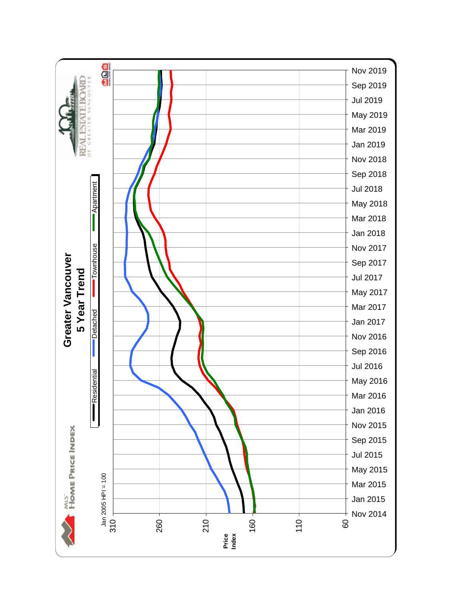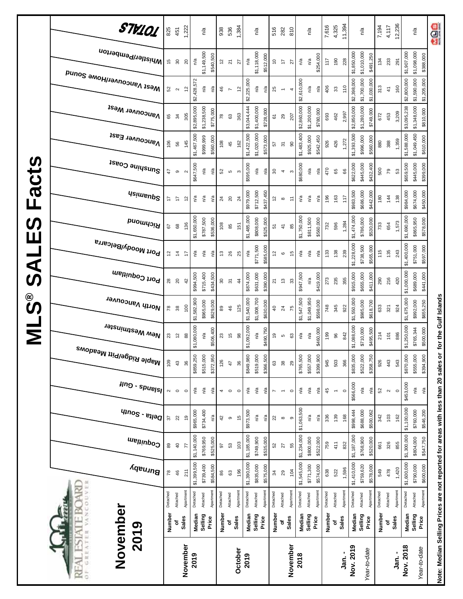|                         | STV101                              | 825                 | 451               | 1,222                 | n/a                        |           | 938             | 536                       | 1,384                    |             | n/a         |           | 516                 | 282                                        | 810          |             | n/a         |           | 7,616    | 4,325                    | 11,394    |             | n/a              |             | 7,194    | 4,117               | 12,236       |             | n/a                        | aos                                                                               |
|-------------------------|-------------------------------------|---------------------|-------------------|-----------------------|----------------------------|-----------|-----------------|---------------------------|--------------------------|-------------|-------------|-----------|---------------------|--------------------------------------------|--------------|-------------|-------------|-----------|----------|--------------------------|-----------|-------------|------------------|-------------|----------|---------------------|--------------|-------------|----------------------------|-----------------------------------------------------------------------------------|
|                         | Whistler/Pemberton                  | 15                  | $\rm ^{30}$       | n/a<br>$20$           | \$1,149,500                | \$540,500 | 5               | $\overline{2}1$           | 27                       | n/a         | \$1,118,000 | \$512,000 | $\hat{\mathcal{L}}$ | $\ddot{ }$                                 | 27           | n/a         | n/a         | \$254,000 | 117      | 190                      | 228       | \$1,850,000 | \$1,010,000      | \$491,250   | 134      | 233                 | 291          | \$1,907,000 | \$1,098,000<br>\$388,000   |                                                                                   |
|                         | Mest Vancouver/Howe Sound           | 52                  | $\sim$            | 5                     | \$2,428,572<br>n/a         | n/a       | 46              | $\overline{\phantom{a}}$  | $\tilde{c}$              | \$2,225,000 | n/a         | n/a       | 25                  | $\overline{\phantom{0}}$                   | 4            | \$2,610,000 | n/a         | n/a       | 406      | 33                       | 110       | \$2,398,000 | \$1,700,000      | \$1,030,000 | 313      | $\frac{4}{7}$       | 160          | \$2,800,000 | \$1,590,000<br>\$1,205,000 |                                                                                   |
|                         | <b>Vancouver West</b>               | 65                  | 34                | 305                   | \$2,895,000<br>\$1,238,500 | \$775,000 | $\overline{78}$ | $\mathbb{S}^3$            | 363                      | \$3,044,444 | \$1,400,000 | \$728,000 | $\overline{\rm 6}$  | 29                                         | 207          | \$2,860,000 | \$1,200,000 | \$780,000 | 693      | 462                      | 2,997     | \$2,850,000 | \$1,280,000      | \$749,000   | 672      | 453                 | 3,209        | \$3,095,238 | \$1,348,000<br>\$810,000   |                                                                                   |
|                         | Vancouver East                      | 106                 | 56                | 145                   | \$1,467,500<br>\$999,999   | \$560,000 | 108             | 45                        | 162                      | \$1,422,500 | \$1,020,000 | \$573,000 | 57                  | $\overline{\widetilde{\mathcal{C}}}$       | 8            | \$1,483,400 | \$925,000   | \$542,450 | 926      | 426                      | 1,272     | \$1,393,500 | \$996,000        | \$560,000   | 880      | 388                 | 1,359        | \$1,588,000 | \$1,049,450<br>\$610,000   |                                                                                   |
| <b>S</b>                | Sunshine Coast                      | 47                  | $\circ$           | $\sim$                | \$647,500<br>n/a           | n/a       | 52              | $\mathfrak{c}$            | $\boldsymbol{\varsigma}$ | \$595,000   | n/a         | n/a       | $30\,$              | $\overline{4}$                             | S            | \$680,000   | n/a         | n/a       | 470      | 65                       | 88        | \$622,000   | \$445,000        | \$432,400   | 500      | 79                  | S3           | \$659,500   | \$445,000<br>\$399,000     |                                                                                   |
| Fact                    | <b>Usimenp<sup>2</sup></b>          | 17                  | Ļ                 | $\tilde{c}$           | n/a<br>్డి                 | n/a       | $\overline{24}$ | $\overline{20}$           | $^{24}$                  | \$979,000   | \$712,500   | \$437,450 | 57                  | $\infty$                                   | ÷            | n/a         | ്ദ          | n/a       | 196      | 163                      | 117       | \$983,500   | \$686,000        | \$442,000   | 180      | 144                 | 138          | \$984,000   | \$674,000<br>\$450,000     |                                                                                   |
| <b>S</b><br>Ш           | <b>Bromnal</b>                      | 57                  | $^{\rm 68}$       | 136                   | \$1,650,000<br>\$787,500   | \$536,000 | 108             | 85                        | 151                      | \$1,485,000 | \$808,000   | \$525,000 | 51                  | $\ddot{4}$                                 | 85           | \$1,750,000 | \$811,500   | \$560,000 | 732      | 596                      | 1,284     | \$1,474,000 | \$786,000        | \$530,000   | 733      | 654                 | 1,573        | \$1,690,000 | \$865,950<br>\$578,000     |                                                                                   |
| $\overline{\textbf{A}}$ | Port Moody/Belcarra                 | 57                  | $\ddot{4}$        | 47                    | ്ദ<br>n/a                  | n/a       | 13              | 26                        | 25                       | n/a         | \$771,500   | \$585,000 | $\frac{2}{3}$       | $\mathbf  \circ$                           | 15           | n/a         | n/a         | n/a       | 133      | 138                      | 239       | \$1,228,000 | \$738,500        | \$565,000   | 115      | 135                 | 243          | \$1,400,000 | \$751,000<br>\$597,000     |                                                                                   |
| ၯ                       | Port Coquitlam                      | 28                  | $\approx$         | $^{42}$               | \$715,400<br>\$994,500     | \$434,500 | $\rm ^{30}$     | $\overline{\mathfrak{S}}$ | $\frac{4}{3}$            | \$874,000   | \$631,000   | \$390,000 | $\overline{2}$      | $\mathrel{\mathop{\mathfrak{S}}}\nolimits$ | 33           | \$947,500   | n/a         | \$419,000 | 273      | 235                      | 355       | \$915,000   | \$655,000        | \$411,000   | 290      | 216                 | 420          | \$1,000,000 | \$689,000<br>\$441,000     |                                                                                   |
| ©<br>ဟ                  | North Vancouver                     | 78                  | 38                | \$1,582,900<br>100    | \$965,000                  | \$629,000 | 89              | 46                        | 125                      | \$1,540,000 | \$1,008,700 | \$630,000 | $\overline{a}$      | $\overline{24}$                            | 75           | \$1,547,500 | \$1,049,950 | \$598,000 | 748      | 345                      | 922       | \$1,550,000 | \$985,000        | \$618,700   | 633      | 321                 | 924          | \$1,675,000 | \$992,000<br>\$655,250     |                                                                                   |
| Σ                       | New Westminster                     | 23                  | $\tilde{c}$       | 88                    | \$1,080,000<br>n/a         | \$506,400 | 23              | 15                        | $_{98}$                  | \$1,092,000 | n/a         | \$490,750 | e,                  | $\mathfrak{c}$                             | 63           | n/a         | ്ദ          | \$460,000 | 199      | 96                       | 842       | \$1,088,000 | \$710,000        | \$495,500   | 214      | 101                 | 886          | \$1,250,000 | \$765,344<br>\$500,000     | for the Gulf Islands                                                              |
|                         | <sup>Maple Ridge/Pitt Meadows</sup> | 109                 | 43                | \$859,250<br>36       | \$515,000                  | \$372,950 | 126             | 47                        | 36                       | \$849,980   | \$519,000   | \$366,500 | $\mathbb{G}3$       | $38\,$                                     | 29           | \$765,500   | \$557,000   | \$399,900 | 945      | 503                      | 366       | \$835,000   | \$522,000        | \$358,750   | 926      | 443                 | 543          | \$870,000   | \$555,000<br>\$394,900     |                                                                                   |
|                         | $\mu$ ng - spuelsl                  | $\boldsymbol{\sim}$ | $\circ$           | $\circ$               | n/a<br>n/a                 | ηá        | 4               | $\circ$                   | $\circ$                  | n/a         | n/a         | ηá        | $\overline{ }$      |                                            | $\circ$      | n/a         | n/a         | n/a       | 45       | $\overline{\phantom{a}}$ | $\circ$   | \$566,000   | n/a              | n/a         | 52       | $\boldsymbol{\sim}$ | $\circ$      | \$453,000   | n/a<br>$n/a$               |                                                                                   |
|                         | $q_{100}$ s - $e_{1100}$            | 57                  | $22$              | ę,                    | \$734,400<br>\$965,000     | n/a       | 42              | $\circ$                   | 45                       | \$973,500   | n/a         | n/a       | 22                  | $\infty$                                   | $\circ$      | \$1,063,500 | n/a         | n/a       | 336      | 139                      | 168       | \$998,444   | \$688,000        | \$500,062   | 342      | 103                 | 162          | \$1,100,000 | \$760,000<br>\$546,200     |                                                                                   |
|                         | Coquitlam                           | 89                  | $\mathsf{q}$      | \$1,140,000<br>F      | \$769,950                  | \$525,000 | 26              | S3                        | 103                      | \$1,185,000 | \$749,900   | \$535,000 | ${\rm S2}$          | $\overline{\mathbf{z}}$                    | 55           | \$1,234,000 | \$800,000   | \$522,000 | 759      | 411                      | 832       | \$1,187,000 | \$768,900        | \$520,000   | 661      | 326                 | 855          | \$1,300,000 | \$804,000<br>\$547,750     |                                                                                   |
|                         | Burnaby                             | 78                  | 46                | \$1,399,500<br>211    | \$739,400                  | \$584,500 | 86              | $\mathbb{S}^3$            | 196                      | \$1,390,000 | \$835,000   | \$575,000 | 34                  | 29                                         | 104          | \$1,545,000 | \$771,300   | \$574,000 | 638      | 522                      | 1,596     | \$1,410,000 | \$759,620        | \$578,000   | 549      | 478                 | 1,420        | \$1,600,000 | \$790,000<br>\$600,000     |                                                                                   |
|                         | VANCOU                              | Detached            | Attached          | Apartment<br>Detached | Attached                   | Apartment | Detached        | Attached                  | Apartment                | Detached    | Attached    | Apartment | Detached            | Attached                                   | Apartment    | Detached    | Attached    | Apartment | Detached | Attached                 | Apartment | Detached    | Attached         | Apartment   | Detached | Attached            | Apartment    | Detached    | Apartment<br>Attached      |                                                                                   |
|                         | 2019<br>td,                         | Number              | <b>Sales</b><br>٥ |                       | Median<br>Selling          | Price     | Number          | ٥                         | Sales                    | Median      | Selling     | Price     | Number              | ٥                                          | <b>Sales</b> | Median      | Selling     | Price     | Number   | Sales<br>ō               |           | Median      | Selling<br>Price |             | Number   | ō                   | <b>Sales</b> | Median      | Selling<br>Price           |                                                                                   |
|                         | November<br>GREATE<br>空<br>ä        |                     |                   | November<br>2019      |                            |           |                 |                           | October                  | 2019        |             |           |                     |                                            | November     | 2018        |             |           |          |                          | Jan. -    | Nov. 2019   | Year-to-date     |             |          |                     | Jan. -       | Nov. 2018   | Year-to-date               | Note: Median Selling Prices are not reported for areas with less than 20 sales or |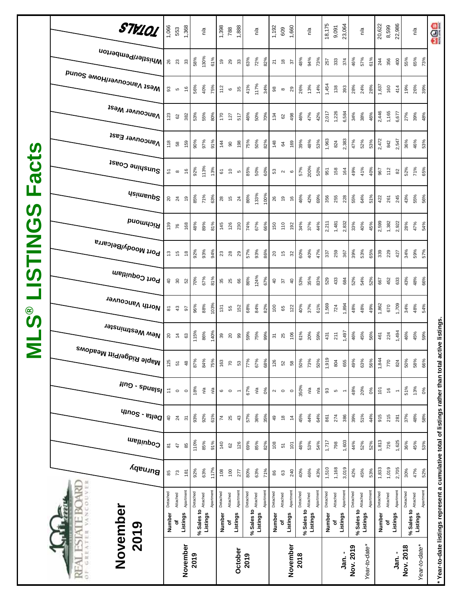|                         | STV101                                | 1,066                                                     | 553          | 1,368          |          | n/a                                    |          | 1,398                   | 788              | 1,888                    |            | n/a                     |           | 1,192          | 609           | 1,660            |            | n/a      |           | 18,175   | 9,091         | 23,064                   |            | n/a           |          | 20,622         | 8,599         | 22,986                   |                            | n/a           | age                                                                                                |
|-------------------------|---------------------------------------|-----------------------------------------------------------|--------------|----------------|----------|----------------------------------------|----------|-------------------------|------------------|--------------------------|------------|-------------------------|-----------|----------------|---------------|------------------|------------|----------|-----------|----------|---------------|--------------------------|------------|---------------|----------|----------------|---------------|--------------------------|----------------------------|---------------|----------------------------------------------------------------------------------------------------|
|                         | Whistler/Pemberton                    |                                                           | <b>26</b> 23 | $33\,$         | 58%      | 130%                                   | 61%      | 6                       | 29               | $33\,$                   | 63%        | 72%                     | 82%       | 21             | $\frac{8}{2}$ | 57               | 48%        | 94%      | 73%       | 257      | 333           | 374                      | 46%        | 57%           | 61%      | 244            | 356           | 400                      | 55%                        | 65%<br>73%    |                                                                                                    |
|                         | Mest Vancouver/Howe Sound             | 93                                                        | 5            | $\frac{6}{2}$  | 56%      | 40%                                    | 75%      | 112                     | $\mathbf \omega$ | 35                       | 41%        | 117%                    | 34%       | 98             | $\infty$      | 29               | 26%        | 13%      | 14%       | 1,454    | 138           | 393                      | 28%        | 24%           | 28%      | 1,637          | 160           | 414                      | 19%                        | 26%<br>39%    |                                                                                                    |
|                         | <b>Vancouver West</b>                 | 123                                                       | 62           | 382            | 53%      | 55%                                    | 80%      | 170                     | 127              | 517                      | 46%        | 50%                     | 70%       | 134            | 62            | 498              | 46%        | 47%      | 42%       | 2,017    | 1,226         | 6,584                    | 34%        | 38%           | 46%      | 2,446          | 1,165         | 6,677                    | 27%                        | 39%<br>48%    |                                                                                                    |
|                         | Vancouver East                        | 118                                                       | 58           | 159            | 90%      | 97%                                    | 91%      | 144                     | $\overline{6}$   | 198                      | 75%        | 50%                     | 82%       | 148            | 64            | 169              | 39%        | 48%      | 53%       | 1,963    | 824           | 2,383                    | 47%        | 52%           | 53%      | 2,472          | 842           | 2,547                    | 36%                        | 46%<br>53%    |                                                                                                    |
| <b>acts</b>             | Sunshine Coast                        | 51                                                        | $\infty$     | $\frac{6}{5}$  | 92%      | 113%                                   | 13%      | $\overline{\mathbf{6}}$ | $\tilde{a}$      | $\mathfrak{c}$           | 85%        | 50%                     | 60%       | 53             | $\sim$        | $\mathbf \Omega$ | 57%        | 200%     | 50%       | 951      | 158           | 164                      | 49%        | 41%           | 40%      | 967            | 112           | 82                       | 52%                        | 65%<br>71%    |                                                                                                    |
| щ                       | <b>Usimenp<sup>2</sup></b>            |                                                           | 24           | é,             | 85%      | 71%                                    | 63%      | 28                      | 15               | 24                       | 86%        | 133%                    | 100%      | 26             | $\frac{9}{2}$ | $\frac{6}{5}$    | 46%        | 42%      | 69%       | 356      | 255           | 228                      | 55%        | 64%           | 51%      | 422            | 261           | 245                      | 43%                        | 55%<br>56%    |                                                                                                    |
| $\boldsymbol{\omega}$   | <b>PuowyoiA</b>                       | 139                                                       | 76           | 168            | 48%      | 89%                                    | 81%      | 145                     | 126              | 230                      | 74%        | 67%                     | 66%       | 150            | 110           | 192              | 34%        | 37%      | 44%       | 2,211    | 1,481         | 2,832                    | 33%        | 40%           | 45%      | 2,599          | 1,382         | 2,922                    | 28%                        | 47%<br>54%    |                                                                                                    |
| <b>USTING</b>           | Port Moody/Belcarra                   | £,                                                        | 15           | $\frac{8}{2}$  | 92%      | 93%                                    | 94%      |                         | 23               | 29                       | 57%        | 93%                     | 86%       | $\overline{c}$ | $\frac{1}{2}$ | 32               | 60%        | 40%      | 47%       | 337      | 259           | 367                      | 39%        | 53%           | 65%      | 339            | 229           | 427                      | 34%                        | 59%<br>57%    |                                                                                                    |
|                         | Port Coquitlam                        | $\sqrt{4}$                                                | $\infty$     | 52             | 70%      | 67%                                    | 81%      | 35                      | 25               | 66                       | 86%        | 124%                    | 67%       | $\overline{4}$ | 57            | $\overline{4}$   | 53%        | 35%      | 83%       | 529      | 433           | 684                      | 52%        | 54%           | 52%      | 667            | 452           | 633                      | 43%                        | 48%<br>66%    |                                                                                                    |
| <b>ေ</b>                | North Vancouver                       | $\overline{\circ}$                                        | $43\,$       | 5              | 96%      | 88%                                    | 103%     | 131                     | 55               | 152                      | 68%        | 84%                     | 82%       | 100            | 65            | 122              | 40%        | 37%      | 61%       | 1,569    | 724           | 1,894                    | 48%        | 48%           | 49%      | 1,862          | 670           | 1,709                    | 34%                        | 48%<br>54%    |                                                                                                    |
| $\overline{\mathsf{z}}$ | , <sup>New Westminster</sup>          |                                                           | 207          | 63             | 115%     | 86%                                    | 140%     |                         | ೫ ನಿ             | 99                       | 59%        | 75%                     | 99%       | 57             | 25            | 106              | 61%        | 20%      | 59%       | 431      | 211           | 1,497                    | 46%        | 45%           | 56%      | 461            | 224           | 1,494                    | 46%                        | 45%<br>59%    |                                                                                                    |
|                         | , <sup>Maple Ridge/Pitt Meadows</sup> | 125                                                       | $5\,$        | 48             | 87%      | 84%                                    | 75%      | 163                     | $\mathcal{L}$    | $53\,$                   | 77%        | 67%                     | 68%       | 126            | 52            | ${\tt 58}$       | 50%        | 73%      | 50%       | 1,919    | 804           | 655                      | 49%        | 63%           | 56%      | 1,844          | 770           | 824                      | 50%                        | 58%<br>66%    |                                                                                                    |
|                         | $\mu$ ng - spuelsl                    | $\stackrel{\scriptscriptstyle{+}}{\scriptscriptstyle{+}}$ | $\circ$      | $\circ$        | 18%      | ηã                                     | Ρá       | $\mathbf  \circ$        | $\circ$          | $\overline{\phantom{a}}$ | 67%        | $\mathsf{r}^\mathsf{a}$ | 0%        | $\sim$         | $\circ$       | $\circ$          | 350%       | ηá       | ηá        | 93       | ю             | $\overline{\phantom{a}}$ | 48%        | 20%           | 0%       | $\overline{5}$ | $\frac{6}{5}$ | $\overline{\phantom{0}}$ | 51%                        | 13%<br>0%     |                                                                                                    |
|                         | $q_{100}$ s - $e_{100}$               | $\overline{a}$                                            | 24           | $\overline{3}$ | 93%      | 92%                                    | 61%      | $\overline{7}$          | 25               | $43$                     | 57%        | 36%                     | 35%       | 49             | $\frac{8}{2}$ | $\frac{4}{3}$    | 45%        | 44%      | 64%       | 861      | 274           | 386                      | 39%        | 51%           | 44%      | 915            | 215           | 281                      | 37%                        | 48%<br>58%    |                                                                                                    |
|                         | Coquitlam                             | $\overline{\infty}$                                       | $47$         | 85             | 110%     | 85%                                    | 91%      | 140                     | 8                | 126                      | 69%        | 85%                     | 82%       | 108            | 57            | $\overline{5}$   | 48%        | 53%      | 54%       | 1,717    | 798           | 1,603                    | 44%        | 52%           | 52%      | 1,813          | 726           | 1,625                    | 36%                        | 45%<br>53%    |                                                                                                    |
|                         | Burnaby                               | 85                                                        | 73           | 181            | 92%      | 63%                                    | 117%     | 108                     | 100              | 277                      | 80%        | 63%                     | 71%       | 86             | 63            | 240              | 40%        | 46%      | 43%       | 1,510    | 1,168         | 3,019                    | 42%        | 45%           | 53%      | 1,833          | 1,019         | 2,705                    | 30%                        | 47%<br>52%    |                                                                                                    |
|                         | VANCOUVE                              | Detached                                                  | Attached     | Apartment      | Detached |                                        | Apartmen | Detached                | Attached         | Apartment                | Detached   | Attached                | Apartment | Detached       | Attached      | Apartment        | Detached   | Attached | Apartment | Detached | Attached      | Apartment                | Detached   | Attached      | Apartmen | Detached       | Attached      | Apartment                | Detached                   | Apartment     |                                                                                                    |
|                         | 2019                                  | Number                                                    | ৳            | Listings       |          | % Sales to <b>Attached</b><br>Listings |          | Number                  | ٥f               | Listings                 | % Sales to | Listings                |           | Number         | ٥ŕ            | Listings         | % Sales to | Listings |           | Number   | Listings<br>ō |                          | % Sales to | Listings      |          | Number         | ъ             | Listings                 | % Sales to <b>Attached</b> | Listings      |                                                                                                    |
|                         | November<br>OF GREATER<br>RE          |                                                           |              | November       | 2019     |                                        |          |                         |                  | October                  | 2019       |                         |           |                |               | November         | 2018       |          |           |          |               | Jan. -                   | Nov. 2019  | Year-to-date* |          |                |               | ្ម<br>ភូ                 | Nov. 2018                  | Year-to-date* | * Year-to-date listings represent a cumulative total of listings rather than total active listings |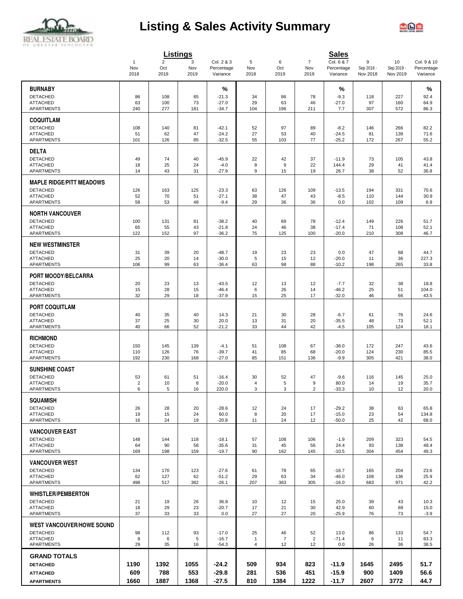

# **Listing & Sales Activity Summary**



|                                              |                       |                       | Listings  |                          |                                |                      |                         | <b>Sales</b>             |                 |                  |                           |
|----------------------------------------------|-----------------------|-----------------------|-----------|--------------------------|--------------------------------|----------------------|-------------------------|--------------------------|-----------------|------------------|---------------------------|
|                                              | $\overline{1}$<br>Nov | $\overline{2}$<br>Oct | 3<br>Nov  | Col. 2 & 3<br>Percentage | 5<br>Nov                       | 6<br>Oct             | $\overline{7}$<br>Nov   | Col. 6 & 7<br>Percentage | 9<br>Sep 2018 - | 10<br>Sep 2019 - | Col. 9 & 10<br>Percentage |
|                                              | 2018                  | 2019                  | 2019      | Variance                 | 2018                           | 2019                 | 2019                    | Variance                 | Nov 2018        | Nov 2019         | Variance                  |
| <b>BURNABY</b>                               |                       |                       |           | %                        |                                |                      |                         | %                        |                 |                  | $\%$                      |
| <b>DETACHED</b>                              | 86                    | 108                   | 85        | $-21.3$                  | 34                             | 86                   | 78                      | $-9.3$                   | 118             | 227              | 92.4                      |
| <b>ATTACHED</b>                              | 63                    | 100                   | 73        | $-27.0$                  | 29                             | 63                   | 46                      | $-27.0$                  | 97              | 160              | 64.9                      |
| APARTMENTS                                   | 240                   | 277                   | 181       | $-34.7$                  | 104                            | 196                  | 211                     | 7.7                      | 307             | 572              | 86.3                      |
| <b>COQUITLAM</b>                             |                       |                       |           |                          |                                |                      |                         |                          |                 |                  |                           |
| <b>DETACHED</b>                              | 108                   | 140                   | 81        | $-42.1$                  | 52                             | 97                   | 89                      | $-8.2$                   | 146             | 266              | 82.2                      |
| <b>ATTACHED</b><br><b>APARTMENTS</b>         | 51<br>101             | 62<br>126             | 47<br>85  | $-24.2$<br>$-32.5$       | 27<br>55                       | 53<br>103            | 40<br>77                | $-24.5$<br>$-25.2$       | 81<br>172       | 139<br>267       | 71.6<br>55.2              |
|                                              |                       |                       |           |                          |                                |                      |                         |                          |                 |                  |                           |
| <b>DELTA</b>                                 |                       |                       |           |                          |                                |                      |                         |                          |                 |                  |                           |
| <b>DETACHED</b><br><b>ATTACHED</b>           | 49<br>18              | 74<br>25              | 40<br>24  | $-45.9$<br>$-4.0$        | 22<br>8                        | 42<br>9              | 37<br>22                | $-11.9$<br>144.4         | 73<br>29        | 105<br>41        | 43.8<br>41.4              |
| APARTMENTS                                   | 14                    | 43                    | 31        | $-27.9$                  | 9                              | 15                   | 19                      | 26.7                     | 38              | 52               | 36.8                      |
| <b>MAPLE RIDGE/PITT MEADOWS</b>              |                       |                       |           |                          |                                |                      |                         |                          |                 |                  |                           |
| <b>DETACHED</b>                              | 126                   | 163                   | 125       | $-23.3$                  | 63                             | 126                  | 109                     | $-13.5$                  | 194             | 331              | 70.6                      |
| <b>ATTACHED</b>                              | 52                    | 70                    | 51        | $-27.1$                  | 38                             | 47                   | 43                      | $-8.5$                   | 110             | 144              | 30.9                      |
| <b>APARTMENTS</b>                            | 58                    | 53                    | 48        | $-9.4$                   | 29                             | 36                   | 36                      | 0.0                      | 102             | 109              | 6.9                       |
| <b>NORTH VANCOUVER</b>                       |                       |                       |           |                          |                                |                      |                         |                          |                 |                  |                           |
| <b>DETACHED</b>                              | 100                   | 131                   | 81        | $-38.2$                  | 40                             | 89                   | 78                      | $-12.4$                  | 149             | 226              | 51.7                      |
| <b>ATTACHED</b><br>APARTMENTS                | 65<br>122             | 55<br>152             | 43<br>97  | $-21.8$<br>$-36.2$       | 24<br>75                       | 46<br>125            | 38<br>100               | $-17.4$<br>$-20.0$       | 71<br>210       | 108<br>308       | 52.1<br>46.7              |
|                                              |                       |                       |           |                          |                                |                      |                         |                          |                 |                  |                           |
| <b>NEW WESTMINSTER</b><br><b>DETACHED</b>    |                       |                       |           |                          |                                |                      |                         |                          |                 |                  |                           |
| <b>ATTACHED</b>                              | 31<br>25              | 39<br>20              | 20<br>14  | $-48.7$<br>$-30.0$       | 19<br>5                        | 23<br>15             | 23<br>12                | 0.0<br>$-20.0$           | 47<br>11        | 68<br>36         | 44.7<br>227.3             |
| <b>APARTMENTS</b>                            | 106                   | 99                    | 63        | $-36.4$                  | 63                             | 98                   | 88                      | $-10.2$                  | 198             | 265              | 33.8                      |
| PORT MOODY/BELCARRA                          |                       |                       |           |                          |                                |                      |                         |                          |                 |                  |                           |
| <b>DETACHED</b>                              | 20                    | 23                    | 13        | $-43.5$                  | 12                             | 13                   | 12                      | $-7.7$                   | 32              | 38               | 18.8                      |
| <b>ATTACHED</b>                              | 15                    | 28                    | 15        | $-46.4$                  | 6                              | 26                   | 14                      | $-46.2$                  | 25              | 51               | 104.0                     |
| <b>APARTMENTS</b>                            | 32                    | 29                    | 18        | $-37.9$                  | 15                             | 25                   | 17                      | $-32.0$                  | 46              | 66               | 43.5                      |
| <b>PORT COQUITLAM</b>                        |                       |                       |           |                          |                                |                      |                         |                          |                 |                  |                           |
| <b>DETACHED</b>                              | 40                    | 35                    | 40        | 14.3                     | 21                             | 30                   | 28                      | $-6.7$                   | 61              | 76               | 24.6                      |
| <b>ATTACHED</b><br>APARTMENTS                | 37<br>40              | 25<br>66              | 30<br>52  | 20.0<br>$-21.2$          | 13<br>33                       | 31<br>44             | 20<br>42                | $-35.5$<br>$-4.5$        | 48<br>105       | 73<br>124        | 52.1<br>18.1              |
|                                              |                       |                       |           |                          |                                |                      |                         |                          |                 |                  |                           |
| <b>RICHMOND</b><br><b>DETACHED</b>           |                       |                       |           |                          |                                |                      |                         |                          |                 |                  |                           |
| <b>ATTACHED</b>                              | 150<br>110            | 145<br>126            | 139<br>76 | $-4.1$<br>$-39.7$        | 51<br>41                       | 108<br>85            | 67<br>68                | $-38.0$<br>$-20.0$       | 172<br>124      | 247<br>230       | 43.6<br>85.5              |
| <b>APARTMENTS</b>                            | 192                   | 230                   | 168       | $-27.0$                  | 85                             | 151                  | 136                     | $-9.9$                   | 305             | 421              | 38.0                      |
| <b>SUNSHINE COAST</b>                        |                       |                       |           |                          |                                |                      |                         |                          |                 |                  |                           |
| <b>DETACHED</b>                              | 53                    | 61                    | 51        | $-16.4$                  | 30                             | 52                   | 47                      | $-9.6$                   | 116             | 145              | 25.0                      |
| <b>ATTACHED</b>                              | $\overline{2}$        | 10                    | 8         | $-20.0$                  | 4<br>3                         | 5                    | 9                       | 80.0                     | 14              | 19               | 35.7                      |
| APARTMENTS                                   | 6                     | 5                     | 16        | 220.0                    |                                | 3                    | $\overline{\mathbf{c}}$ | $-33.3$                  | 10              | 12               | 20.0                      |
| <b>SQUAMISH</b>                              |                       |                       |           |                          |                                |                      |                         |                          |                 |                  |                           |
| <b>DETACHED</b><br><b>ATTACHED</b>           | 26<br>19              | 28<br>15              | 20<br>24  | $-28.6$<br>60.0          | 12<br>8                        | 24<br>20             | 17<br>17                | $-29.2$<br>$-15.0$       | 38<br>23        | 63<br>54         | 65.8<br>134.8             |
| APARTMENTS                                   | 16                    | 24                    | 19        | $-20.8$                  | 11                             | 24                   | 12                      | $-50.0$                  | 25              | 42               | 68.0                      |
| <b>VANCOUVER EAST</b>                        |                       |                       |           |                          |                                |                      |                         |                          |                 |                  |                           |
| <b>DETACHED</b>                              | 148                   | 144                   | 118       | $-18.1$                  | 57                             | 108                  | 106                     | $-1.9$                   | 209             | 323              | 54.5                      |
| <b>ATTACHED</b>                              | 64                    | 90                    | 58        | $-35.6$                  | 31                             | 45                   | 56                      | 24.4                     | 93              | 138              | 48.4                      |
| APARTMENTS                                   | 169                   | 198                   | 159       | $-19.7$                  | 90                             | 162                  | 145                     | $-10.5$                  | 304             | 454              | 49.3                      |
| <b>VANCOUVER WEST</b>                        |                       |                       |           |                          |                                |                      |                         |                          |                 |                  |                           |
| <b>DETACHED</b>                              | 134                   | 170                   | 123       | $-27.6$                  | 61                             | 78                   | 65                      | $-16.7$                  | 165             | 204              | 23.6                      |
| <b>ATTACHED</b><br><b>APARTMENTS</b>         | 62<br>498             | 127<br>517            | 62<br>382 | $-51.2$<br>$-26.1$       | 29<br>207                      | 63<br>363            | 34<br>305               | $-46.0$<br>$-16.0$       | 108<br>683      | 136<br>971       | 25.9<br>42.2              |
|                                              |                       |                       |           |                          |                                |                      |                         |                          |                 |                  |                           |
| <b>WHISTLER/PEMBERTON</b><br><b>DETACHED</b> | 21                    | 19                    | 26        | 36.8                     | 10                             | 12                   | 15                      | 25.0                     | 39              | 43               | 10.3                      |
| <b>ATTACHED</b>                              | 18                    | 29                    | 23        | $-20.7$                  | 17                             | 21                   | 30                      | 42.9                     | 60              | 69               | 15.0                      |
| <b>APARTMENTS</b>                            | 37                    | 33                    | 33        | 0.0                      | 27                             | 27                   | 20                      | $-25.9$                  | 76              | 73               | $-3.9$                    |
| <b>WEST VANCOUVER/HOWE SOUND</b>             |                       |                       |           |                          |                                |                      |                         |                          |                 |                  |                           |
| <b>DETACHED</b>                              | 98                    | 112                   | 93        | $-17.0$                  | 25                             | 46                   | 52                      | 13.0                     | 86              | 133              | 54.7                      |
| <b>ATTACHED</b><br>APARTMENTS                | 8<br>29               | 6<br>35               | 5<br>16   | $-16.7$<br>$-54.3$       | $\mathbf{1}$<br>$\overline{4}$ | $\overline{7}$<br>12 | $\overline{2}$<br>12    | $-71.4$<br>0.0           | 6<br>26         | 11<br>36         | 83.3<br>38.5              |
|                                              |                       |                       |           |                          |                                |                      |                         |                          |                 |                  |                           |
| <b>GRAND TOTALS</b>                          |                       |                       |           |                          |                                |                      |                         |                          |                 |                  |                           |
| <b>DETACHED</b>                              | 1190                  | 1392                  | 1055      | -24.2                    | 509                            | 934                  | 823                     | $-11.9$                  | 1645            | 2495             | 51.7                      |
| <b>ATTACHED</b>                              | 609                   | 788                   | 553       | $-29.8$                  | 281                            | 536                  | 451                     | $-15.9$                  | 900             | 1409             | 56.6                      |
| <b>APARTMENTS</b>                            | 1660                  | 1887                  | 1368      | $-27.5$                  | 810                            | 1384                 | 1222                    | $-11.7$                  | 2607            | 3772             | 44.7                      |